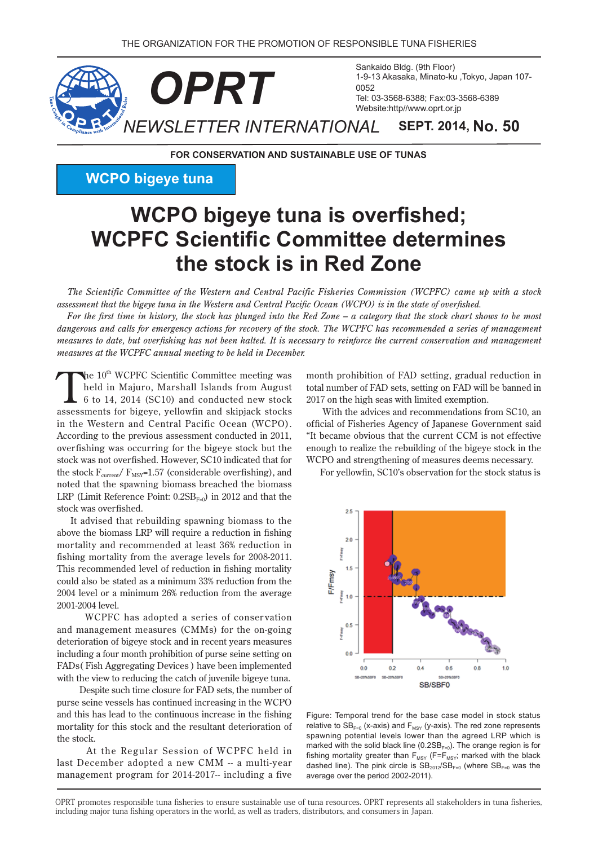

**FOR CONSERVATION AND SUSTAINABLE USE OF TUNAS** 

**WCPO** bigeye tuna

# **WCPO** bigeye tuna is overfished; **WCPFC Scientific Committee determines zhock is in Red Zone**

*The Scientific Committee of the Western and Central Pacific Fisheries Commission (WCPFC) came up with a stock* assessment that the bigeve tuna in the Western and Central Pacific Ocean (WCPO) is in the state of overfished.

For the first time in history, the stock has plunged into the Red Zone – a category that the stock chart shows to be most *dangerous and calls for emergency actions for recovery of the stock. The WCPFC has recommended a series of management measures to date, but overfishing has not been halted. It is necessary to reinforce the current conservation and management measures at the WCPFC annual meeting to be held in December.* 

The 10<sup>th</sup> WCPFC Scientific Committee meeting was held in Majuro, Marshall Islands from August  $6$  to 14, 2014 (SC10) and conducted new stock assessments for bigeye, yellowfin and skipjack stocks in the Western and Central Pacific Ocean (WCPO). According to the previous assessment conducted in 2011, overfishing was occurring for the bigeye stock but the stock was not overfished. However, SC10 indicated that for the stock  $F_{\text{current}}/F_{\text{MSY}} = 1.57$  (considerable overfishing), and noted that the spawning biomass breached the biomass LRP (Limit Reference Point:  $0.2SB_{F=0}$ ) in 2012 and that the stock was overfished.

It advised that rebuilding spawning biomass to the above the biomass LRP will require a reduction in fishing mortality and recommended at least 36% reduction in fishing mortality from the average levels for  $2008-2011$ . This recommended level of reduction in fishing mortality could also be stated as a minimum 33% reduction from the 2004 level or a minimum 26% reduction from the average 2001-2004 level.

WCPFC has adopted a series of conservation and management measures (CMMs) for the on-going deterioration of bigeye stock and in recent years measures including a four month prohibition of purse seine setting on FADs (Fish Aggregating Devices) have been implemented with the view to reducing the catch of juvenile bigeye tuna.

Despite such time closure for FAD sets, the number of purse seine vessels has continued increasing in the WCPO and this has lead to the continuous increase in the fishing mortality for this stock and the resultant deterioration of the stock.

At the Regular Session of WCPFC held in last December adopted a new CMM -- a multi-year management program for 2014-2017-- including a five month prohibition of FAD setting, gradual reduction in total number of FAD sets, setting on FAD will be banned in 2017 on the high seas with limited exemption.

With the advices and recommendations from SC10, an official of Fisheries Agency of Japanese Government said "It became obvious that the current CCM is not effective enough to realize the rebuilding of the bigeye stock in the WCPO and strengthening of measures deems necessary.

For yellowfin, SC10's observation for the stock status is



Figure: Temporal trend for the base case model in stock status relative to  $SB_{F=0}$  (x-axis) and  $F_{MSY}$  (y-axis). The red zone represents spawning potential levels lower than the agreed LRP which is marked with the solid black line (0.2SBF=0). The orange region is for fishing mortality greater than  $F_{MSY}$  (F= $F_{MSY}$ ; marked with the black dashed line). The pink circle is  $SB<sub>2012</sub>/SB<sub>F=0</sub>$  (where  $SB<sub>F=0</sub>$  was the average over the period 2002-2011).

OPRT promotes responsible tuna fisheries to ensure sustainable use of tuna resources. OPRT represents all stakeholders in tuna fisheries, including major tuna fishing operators in the world, as well as traders, distributors, and consumers in Japan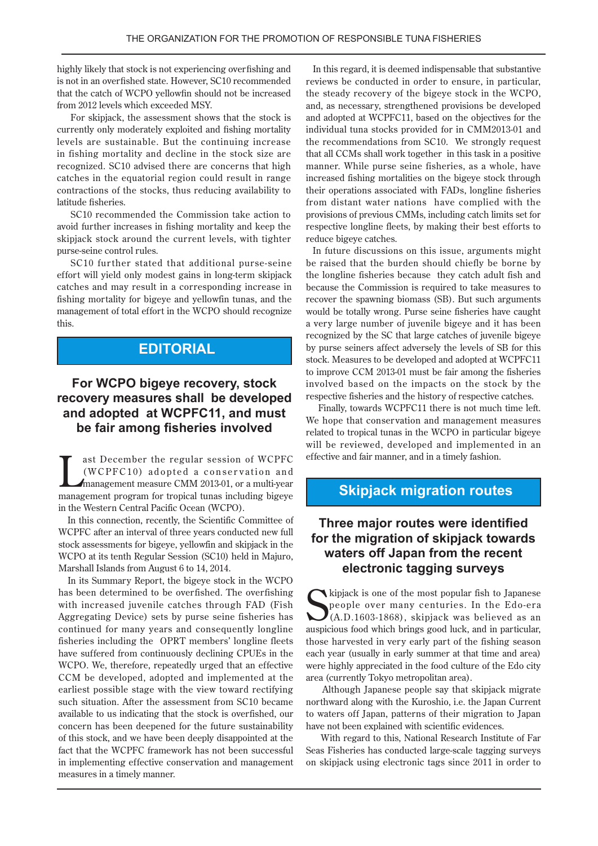highly likely that stock is not experiencing overfishing and is not in an overfished state. However, SC10 recommended that the catch of WCPO vellowfin should not be increased from 2012 levels which exceeded MSY.

For skipjack, the assessment shows that the stock is currently only moderately exploited and fishing mortality levels are sustainable. But the continuing increase in fishing mortality and decline in the stock size are recognized. SC10 advised there are concerns that high catches in the equatorial region could result in range contractions of the stocks, thus reducing availability to latitude fisheries.

SC10 recommended the Commission take action to avoid further increases in fishing mortality and keep the skipjack stock around the current levels, with tighter purse-seine control rules.

SC10 further stated that additional purse-seine effort will yield only modest gains in long-term skipjack catches and may result in a corresponding increase in fishing mortality for bigeye and yellowfin tunas, and the management of total effort in the WCPO should recognize this.

## **EDITORIAL**

#### **For WCPO bigeye recovery, stock recovery measures shall be developed** and adopted at WCPFC11, and must **be fair among fisheries involved**

ast December the regular session of WCPFC<br>(WCPFC10) adopted a conservation and<br>management measure CMM 2013-01, or a multi-year (WCPFC10) adopted a conservation and management measure CMM 2013-01, or a multi-year management program for tropical tunas including bigeye in the Western Central Pacific Ocean (WCPO).

In this connection, recently, the Scientific Committee of WCPFC after an interval of three years conducted new full stock assessments for bigeye, yellowfin and skipjack in the WCPO at its tenth Regular Session (SC10) held in Majuro, Marshall Islands from August 6 to 14, 2014.

In its Summary Report, the bigeye stock in the WCPO has been determined to be overfished. The overfishing with increased juvenile catches through FAD (Fish Aggregating Device) sets by purse seine fisheries has continued for many years and consequently longline fisheries including the OPRT members' longline fleets have suffered from continuously declining CPUEs in the WCPO. We, therefore, repeatedly urged that an effective CCM be developed, adopted and implemented at the earliest possible stage with the view toward rectifying such situation. After the assessment from SC10 became available to us indicating that the stock is overfished, our concern has been deepened for the future sustainability of this stock, and we have been deeply disappointed at the fact that the WCPFC framework has not been successful in implementing effective conservation and management measures in a timely manner.

In this regard, it is deemed indispensable that substantive reviews be conducted in order to ensure, in particular, the steady recovery of the bigeye stock in the WCPO, and, as necessary, strengthened provisions be developed and adopted at WCPFC11, based on the objectives for the individual tuna stocks provided for in CMM2013-01 and the recommendations from SC10. We strongly request that all CCMs shall work together in this task in a positive manner. While purse seine fisheries, as a whole, have increased fishing mortalities on the bigeye stock through their operations associated with FADs, longline fisheries from distant water nations have complied with the provisions of previous CMMs, including catch limits set for respective longline fleets, by making their best efforts to reduce bigeye catches.

In future discussions on this issue, arguments might be raised that the burden should chiefly be borne by the longline fisheries because they catch adult fish and because the Commission is required to take measures to recover the spawning biomass (SB). But such arguments would be totally wrong. Purse seine fisheries have caught a very large number of juvenile bigeye and it has been recognized by the SC that large catches of juvenile bigeye by purse seiners affect adversely the levels of SB for this stock. Measures to be developed and adopted at WCPFC11 to improve CCM 2013-01 must be fair among the fisheries involved based on the impacts on the stock by the respective fisheries and the history of respective catches.

Finally, towards WCPFC11 there is not much time left. We hope that conservation and management measures related to tropical tunas in the WCPO in particular bigeye will be reviewed, developed and implemented in an effective and fair manner, and in a timely fashion.

#### **Skipjack migration routes**

#### **Three major routes were identified** for the migration of skipjack towards **waters off Japan from the recent surveys** electronic tagging surveys

Kipjack is one of the most popular fish to Japanese<br>people over many centuries. In the Edo-era<br>(A.D.1603-1868), skipjack was believed as an<br>auspicious food which brings good luck, and in particular,  $\sum$  kipjack is one of the most popular fish to Japanese people over many centuries. In the Edo-era  $J(A.D.1603-1868)$ , skipjack was believed as an those harvested in very early part of the fishing season each year (usually in early summer at that time and area) were highly appreciated in the food culture of the Edo city area (currently Tokyo metropolitan area).

Although Japanese people say that skipjack migrate northward along with the Kuroshio, i.e. the Japan Current to waters off Japan, patterns of their migration to Japan have not been explained with scientific evidences.

With regard to this, National Research Institute of Far Seas Fisheries has conducted large-scale tagging surveys on skipjack using electronic tags since 2011 in order to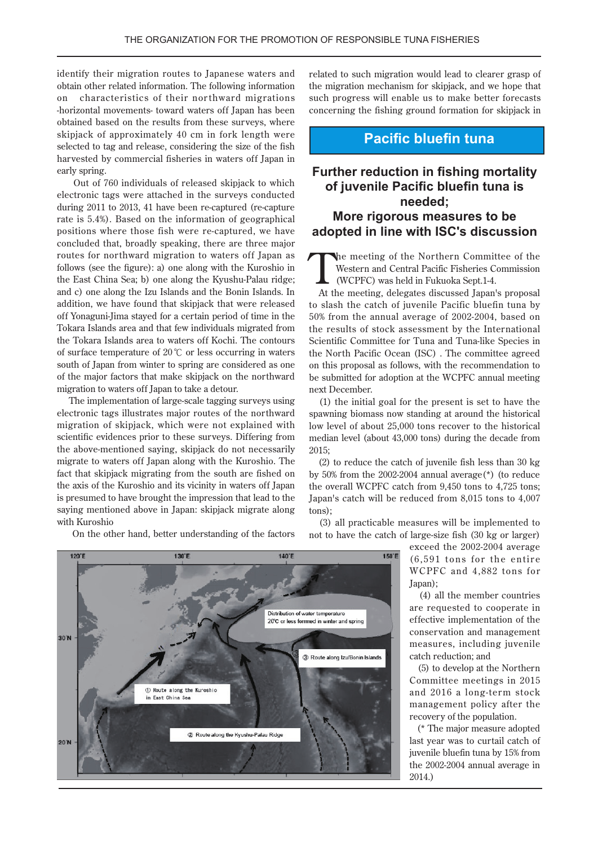identify their migration routes to Japanese waters and obtain other related information. The following information on characteristics of their northward migrations -horizontal movements- toward waters off Japan has been obtained based on the results from these surveys, where skipjack of approximately 40 cm in fork length were selected to tag and release, considering the size of the fish harvested by commercial fisheries in waters off Japan in early spring.

Out of 760 individuals of released skipjack to which electronic tags were attached in the surveys conducted during  $2011$  to  $2013$ ,  $41$  have been re-captured (re-capture rate is 5.4%). Based on the information of geographical positions where those fish were re-captured, we have concluded that, broadly speaking, there are three major routes for northward migration to waters off Japan as follows (see the figure): a) one along with the Kuroshio in the East China Sea; b) one along the Kyushu-Palau ridge; and c) one along the Izu Islands and the Bonin Islands. In addition, we have found that skipjack that were released off Yonaguni-Jima stayed for a certain period of time in the Tokara Islands area and that few individuals migrated from the Tokara Islands area to waters off Kochi. The contours of surface temperature of 20  $\degree$ C or less occurring in waters south of Japan from winter to spring are considered as one of the major factors that make skipjack on the northward migration to waters off Japan to take a detour.

The implementation of large-scale tagging surveys using electronic tags illustrates major routes of the northward migration of skipjack, which were not explained with scientific evidences prior to these surveys. Differing from the above-mentioned saying, skipjack do not necessarily migrate to waters off Japan along with the Kuroshio. The fact that skipjack migrating from the south are fished on the axis of the Kuroshio and its vicinity in waters off Japan is presumed to have brought the impression that lead to the saying mentioned above in Japan: skipjack migrate along with Kuroshio

On the other hand, better understanding of the factors

related to such migration would lead to clearer grasp of the migration mechanism for skipjack, and we hope that such progress will enable us to make better forecasts concerning the fishing ground formation for skipjack in

#### **Pacific bluefin tuna**

#### **Further reduction in fishing mortality of juvenile Pacific bluefin tuna is ;needed More rigorous measures to be** adopted in line with **ISC's** discussion

The meeting of the Northern Committee of the<br>Western and Central Pacific Fisheries Commission<br>(WCPFC) was held in Fukuoka Sept.1-4. Western and Central Pacific Fisheries Commission (WCPFC) was held in Fukuoka Sept.1-4.

At the meeting, delegates discussed Japan's proposal to slash the catch of juvenile Pacific bluefin tuna by 50% from the annual average of 2002-2004, based on the results of stock assessment by the International Scientific Committee for Tuna and Tuna-like Species in the North Pacific Ocean (ISC). The committee agreed on this proposal as follows, with the recommendation to be submitted for adoption at the WCPFC annual meeting next December.

 $t$ ) the initial goal for the present is set to have the spawning biomass now standing at around the historical low level of about 25,000 tons recover to the historical median level (about  $43,000$  tons) during the decade from ;2015

 $k$ ) to reduce the catch of juvenile fish less than 30 kg by 50% from the 2002-2004 annual average  $(*)$  (to reduce the overall WCPFC catch from  $9,450$  tons to  $4,725$  tons; Japan's catch will be reduced from  $8,015$  tons to  $4,007$ tons):

 $(3)$  all practicable measures will be implemented to not to have the catch of large-size fish (30 kg or larger)

> exceed the 2002-2004 average  $(6, 591$  tons for the entire WCPFC and 4,882 tons for ;(Japan

> $(4)$  all the member countries are requested to cooperate in effective implementation of the conservation and management measures, including juvenile catch reduction; and

> $(5)$  to develop at the Northern Committee meetings in 2015 and 2016 a long-term stock management policy after the recovery of the population.

> (\* The major measure adopted last year was to curtail catch of juvenile bluefin tuna by 15% from the 2002-2004 annual average in (2014.